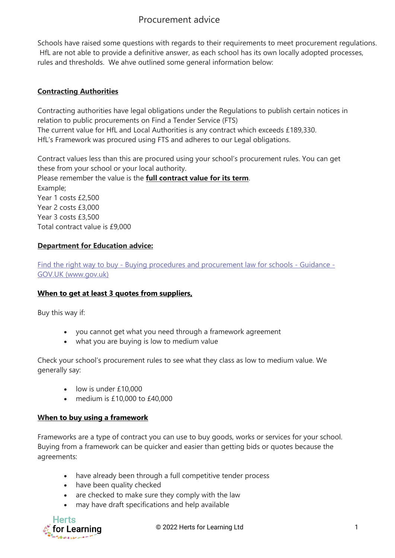# Procurement advice

Schools have raised some questions with regards to their requirements to meet procurement regulations. HfL are not able to provide a definitive answer, as each school has its own locally adopted processes, rules and thresholds. We ahve outlined some general information below:

### **Contracting Authorities**

Contracting authorities have legal obligations under the Regulations to publish certain notices in relation to public procurements on Find a Tender Service (FTS) The current value for HfL and Local Authorities is any contract which exceeds £189,330. HfL's Framework was procured using FTS and adheres to our Legal obligations.

Contract values less than this are procured using your school's procurement rules. You can get these from your school or your local authority.

Please remember the value is the **full contract value for its term**. Example; Year 1 costs £2,500 Year 2 costs £3,000 Year 3 costs £3,500 Total contract value is £9,000

## **Department for Education advice:**

Find the right way to buy - [Buying procedures and procurement law for schools -](https://www.gov.uk/guidance/buying-procedures-and-procurement-law-for-schools/find-the-right-way-to-buy) Guidance - [GOV.UK \(www.gov.uk\)](https://www.gov.uk/guidance/buying-procedures-and-procurement-law-for-schools/find-the-right-way-to-buy)

#### **When to get at least 3 quotes from suppliers,**

Buy this way if:

- you cannot get what you need through a framework agreement
- what you are buying is low to medium value

Check your school's procurement rules to see what they class as low to medium value. We generally say:

- low is under £10,000
- medium is £10,000 to £40,000

#### **When to buy using a framework**

Frameworks are a type of contract you can use to buy goods, works or services for your school. Buying from a framework can be quicker and easier than getting bids or quotes because the agreements:

- have already been through a full competitive tender process
- have been quality checked
- are checked to make sure they comply with the law
- may have draft specifications and help available